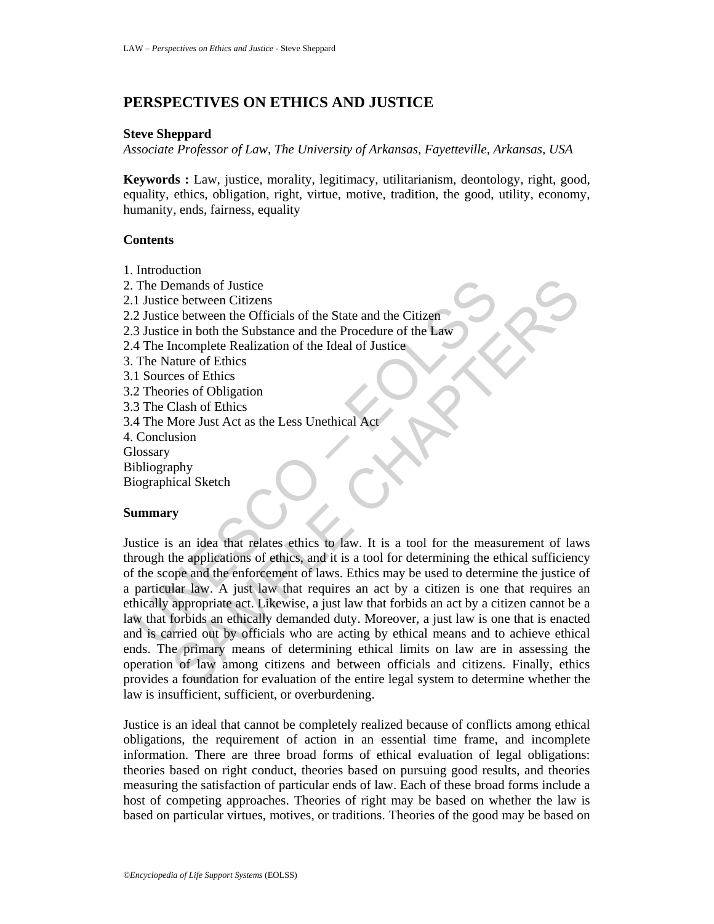## **PERSPECTIVES ON ETHICS AND JUSTICE**

#### **Steve Sheppard**

*Associate Professor of Law, The University of Arkansas, Fayetteville, Arkansas, USA* 

**Keywords :** Law, justice, morality, legitimacy, utilitarianism, deontology, right, good, equality, ethics, obligation, right, virtue, motive, tradition, the good, utility, economy, humanity, ends, fairness, equality

## **Contents**

1. Introduction

The Demands of Justice<br>
1 Justice between Citizens<br>
2 Justice between the Officials of the State and the Citizen<br>
3 Justice in both the Substance and the Procedure of the Law<br>
4 The Incomplete Realization of the Ideal of J en between Citizens<br>
Se between the Officials of the State and the Citizen<br>
Se between the Officials of the State and the Citizen<br>
incomplete Realization of the Ideal of Justice<br>
active of Ethics<br>
The Se between the Substa 2. The Demands of Justice 2.1 Justice between Citizens 2.2 Justice between the Officials of the State and the Citizen 2.3 Justice in both the Substance and the Procedure of the Law 2.4 The Incomplete Realization of the Ideal of Justice 3. The Nature of Ethics 3.1 Sources of Ethics 3.2 Theories of Obligation 3.3 The Clash of Ethics 3.4 The More Just Act as the Less Unethical Act 4. Conclusion **Glossary** Bibliography Biographical Sketch

## **Summary**

Justice is an idea that relates ethics to law. It is a tool for the measurement of laws through the applications of ethics, and it is a tool for determining the ethical sufficiency of the scope and the enforcement of laws. Ethics may be used to determine the justice of a particular law. A just law that requires an act by a citizen is one that requires an ethically appropriate act. Likewise, a just law that forbids an act by a citizen cannot be a law that forbids an ethically demanded duty. Moreover, a just law is one that is enacted and is carried out by officials who are acting by ethical means and to achieve ethical ends. The primary means of determining ethical limits on law are in assessing the operation of law among citizens and between officials and citizens. Finally, ethics provides a foundation for evaluation of the entire legal system to determine whether the law is insufficient, sufficient, or overburdening.

Justice is an ideal that cannot be completely realized because of conflicts among ethical obligations, the requirement of action in an essential time frame, and incomplete information. There are three broad forms of ethical evaluation of legal obligations: theories based on right conduct, theories based on pursuing good results, and theories measuring the satisfaction of particular ends of law. Each of these broad forms include a host of competing approaches. Theories of right may be based on whether the law is based on particular virtues, motives, or traditions. Theories of the good may be based on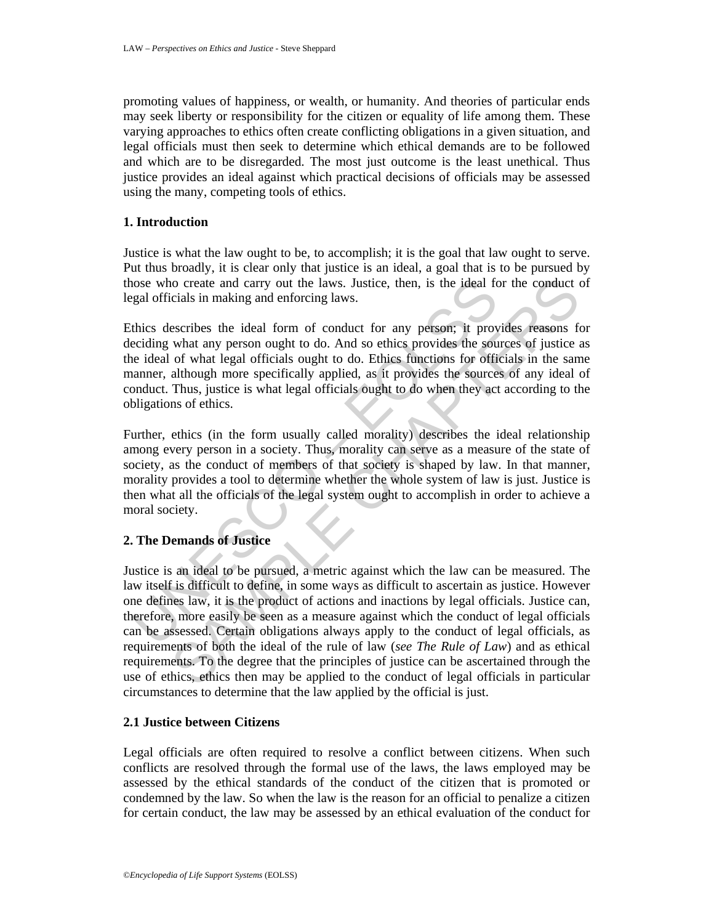promoting values of happiness, or wealth, or humanity. And theories of particular ends may seek liberty or responsibility for the citizen or equality of life among them. These varying approaches to ethics often create conflicting obligations in a given situation, and legal officials must then seek to determine which ethical demands are to be followed and which are to be disregarded. The most just outcome is the least unethical. Thus justice provides an ideal against which practical decisions of officials may be assessed using the many, competing tools of ethics.

## **1. Introduction**

Justice is what the law ought to be, to accomplish; it is the goal that law ought to serve. Put thus broadly, it is clear only that justice is an ideal, a goal that is to be pursued by those who create and carry out the laws. Justice, then, is the ideal for the conduct of legal officials in making and enforcing laws.

ose who create and carry out the laws. Justice, then, is the ideal form space who create and carry out the laws. Justice, then, is the ideal form space and of what ideal form of conduct for any person; it provides the solu Ethics describes the ideal form of conduct for any person; it provides reasons for deciding what any person ought to do. And so ethics provides the sources of justice as the ideal of what legal officials ought to do. Ethics functions for officials in the same manner, although more specifically applied, as it provides the sources of any ideal of conduct. Thus, justice is what legal officials ought to do when they act according to the obligations of ethics.

Further, ethics (in the form usually called morality) describes the ideal relationship among every person in a society. Thus, morality can serve as a measure of the state of society, as the conduct of members of that society is shaped by law. In that manner, morality provides a tool to determine whether the whole system of law is just. Justice is then what all the officials of the legal system ought to accomplish in order to achieve a moral society.

## **2. The Demands of Justice**

to create and carry out the laws. Justice, then, is the ideal for the conduct c<br>cials in making and enforcing laws.<br>Secribes the ideal form of conduct for any person; it provides reasons for<br>what any person ought to do. An Justice is an ideal to be pursued, a metric against which the law can be measured. The law itself is difficult to define, in some ways as difficult to ascertain as justice. However one defines law, it is the product of actions and inactions by legal officials. Justice can, therefore, more easily be seen as a measure against which the conduct of legal officials can be assessed. Certain obligations always apply to the conduct of legal officials, as requirements of both the ideal of the rule of law (*see The Rule of Law*) and as ethical requirements. To the degree that the principles of justice can be ascertained through the use of ethics, ethics then may be applied to the conduct of legal officials in particular circumstances to determine that the law applied by the official is just.

## **2.1 Justice between Citizens**

Legal officials are often required to resolve a conflict between citizens. When such conflicts are resolved through the formal use of the laws, the laws employed may be assessed by the ethical standards of the conduct of the citizen that is promoted or condemned by the law. So when the law is the reason for an official to penalize a citizen for certain conduct, the law may be assessed by an ethical evaluation of the conduct for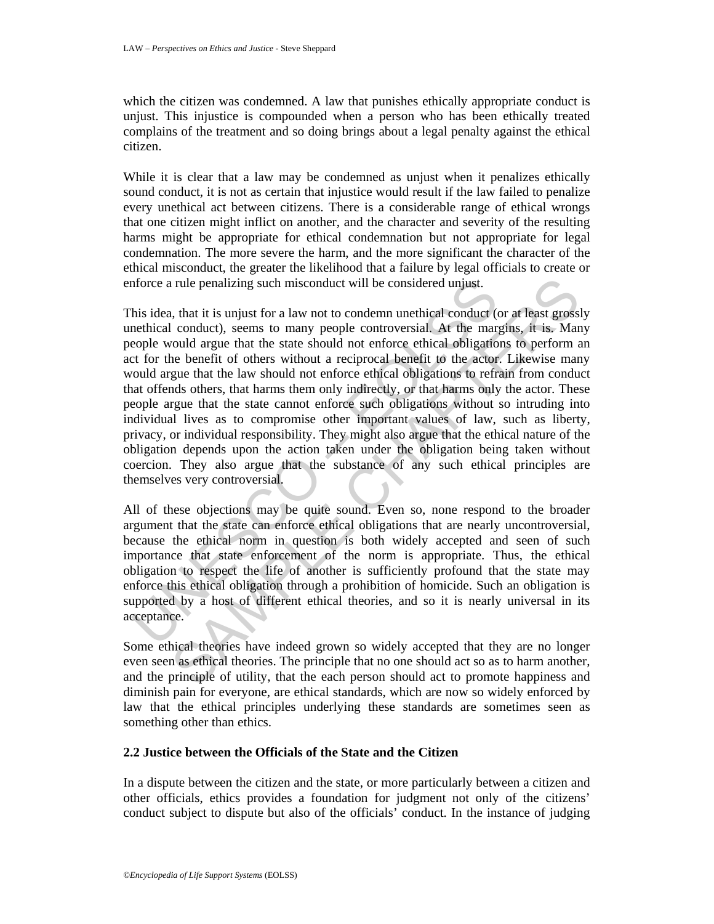which the citizen was condemned. A law that punishes ethically appropriate conduct is unjust. This injustice is compounded when a person who has been ethically treated complains of the treatment and so doing brings about a legal penalty against the ethical citizen.

While it is clear that a law may be condemned as unjust when it penalizes ethically sound conduct, it is not as certain that injustice would result if the law failed to penalize every unethical act between citizens. There is a considerable range of ethical wrongs that one citizen might inflict on another, and the character and severity of the resulting harms might be appropriate for ethical condemnation but not appropriate for legal condemnation. The more severe the harm, and the more significant the character of the ethical misconduct, the greater the likelihood that a failure by legal officials to create or enforce a rule penalizing such misconduct will be considered unjust.

force a rule penalizing such misconduct will be considered unjust.<br>
his idea, that it is unjust for a law not to condemn unethical conduct (<br>
neethical conduct), seems to many people controversial. At the margople would ar In the penalizing such misconduct will be considered unjust.<br>
In the it is unjust for a law not to condemn uncthical conduct (or at least grossl<br>
conduct), seems to many people controversial. At the margins, it is. Man<br>
co This idea, that it is unjust for a law not to condemn unethical conduct (or at least grossly unethical conduct), seems to many people controversial. At the margins, it is. Many people would argue that the state should not enforce ethical obligations to perform an act for the benefit of others without a reciprocal benefit to the actor. Likewise many would argue that the law should not enforce ethical obligations to refrain from conduct that offends others, that harms them only indirectly, or that harms only the actor. These people argue that the state cannot enforce such obligations without so intruding into individual lives as to compromise other important values of law, such as liberty, privacy, or individual responsibility. They might also argue that the ethical nature of the obligation depends upon the action taken under the obligation being taken without coercion. They also argue that the substance of any such ethical principles are themselves very controversial.

All of these objections may be quite sound. Even so, none respond to the broader argument that the state can enforce ethical obligations that are nearly uncontroversial, because the ethical norm in question is both widely accepted and seen of such importance that state enforcement of the norm is appropriate. Thus, the ethical obligation to respect the life of another is sufficiently profound that the state may enforce this ethical obligation through a prohibition of homicide. Such an obligation is supported by a host of different ethical theories, and so it is nearly universal in its acceptance.

Some ethical theories have indeed grown so widely accepted that they are no longer even seen as ethical theories. The principle that no one should act so as to harm another, and the principle of utility, that the each person should act to promote happiness and diminish pain for everyone, are ethical standards, which are now so widely enforced by law that the ethical principles underlying these standards are sometimes seen as something other than ethics.

## **2.2 Justice between the Officials of the State and the Citizen**

In a dispute between the citizen and the state, or more particularly between a citizen and other officials, ethics provides a foundation for judgment not only of the citizens' conduct subject to dispute but also of the officials' conduct. In the instance of judging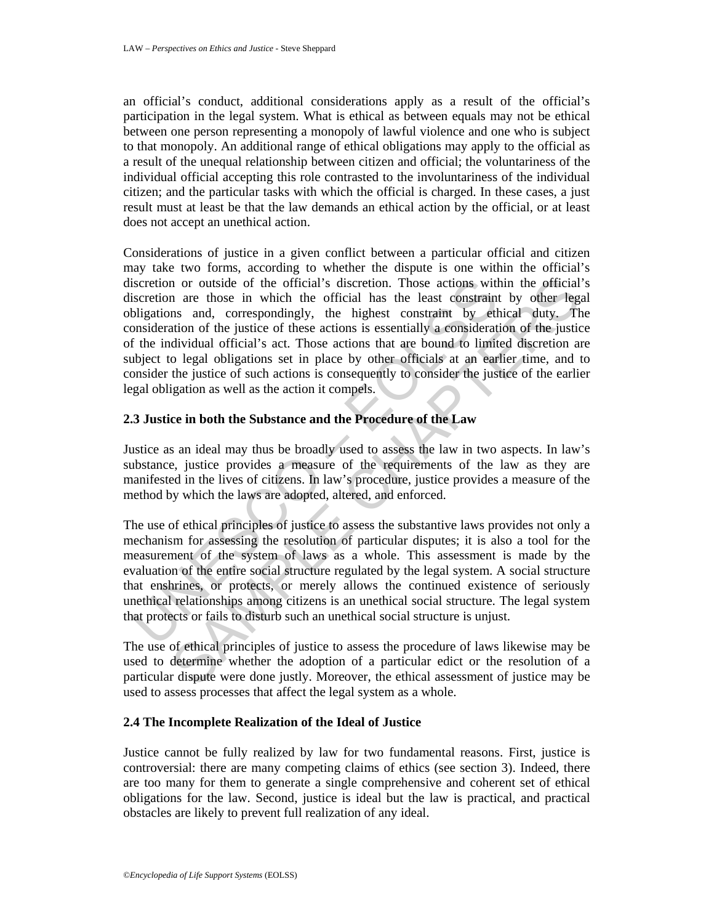an official's conduct, additional considerations apply as a result of the official's participation in the legal system. What is ethical as between equals may not be ethical between one person representing a monopoly of lawful violence and one who is subject to that monopoly. An additional range of ethical obligations may apply to the official as a result of the unequal relationship between citizen and official; the voluntariness of the individual official accepting this role contrasted to the involuntariness of the individual citizen; and the particular tasks with which the official is charged. In these cases, a just result must at least be that the law demands an ethical action by the official, or at least does not accept an unethical action.

iscretion or outside of the official's discretion. Those actions with<br>distinction are those in which the official has the least constraint<br>bligations and, correspondingly, the highest constraint by eth<br>bligations of the ju n are those in which the official's discretion. Those actions within the official<br>nare notes in which the official has the least constraint by other legs<br>ns and, correspondingly, the highest constraint by eithical duty. Th Considerations of justice in a given conflict between a particular official and citizen may take two forms, according to whether the dispute is one within the official's discretion or outside of the official's discretion. Those actions within the official's discretion are those in which the official has the least constraint by other legal obligations and, correspondingly, the highest constraint by ethical duty. The consideration of the justice of these actions is essentially a consideration of the justice of the individual official's act. Those actions that are bound to limited discretion are subject to legal obligations set in place by other officials at an earlier time, and to consider the justice of such actions is consequently to consider the justice of the earlier legal obligation as well as the action it compels.

## **2.3 Justice in both the Substance and the Procedure of the Law**

Justice as an ideal may thus be broadly used to assess the law in two aspects. In law's substance, justice provides a measure of the requirements of the law as they are manifested in the lives of citizens. In law's procedure, justice provides a measure of the method by which the laws are adopted, altered, and enforced.

The use of ethical principles of justice to assess the substantive laws provides not only a mechanism for assessing the resolution of particular disputes; it is also a tool for the measurement of the system of laws as a whole. This assessment is made by the evaluation of the entire social structure regulated by the legal system. A social structure that enshrines, or protects, or merely allows the continued existence of seriously unethical relationships among citizens is an unethical social structure. The legal system that protects or fails to disturb such an unethical social structure is unjust.

The use of ethical principles of justice to assess the procedure of laws likewise may be used to determine whether the adoption of a particular edict or the resolution of a particular dispute were done justly. Moreover, the ethical assessment of justice may be used to assess processes that affect the legal system as a whole.

## **2.4 The Incomplete Realization of the Ideal of Justice**

Justice cannot be fully realized by law for two fundamental reasons. First, justice is controversial: there are many competing claims of ethics (see section 3). Indeed, there are too many for them to generate a single comprehensive and coherent set of ethical obligations for the law. Second, justice is ideal but the law is practical, and practical obstacles are likely to prevent full realization of any ideal.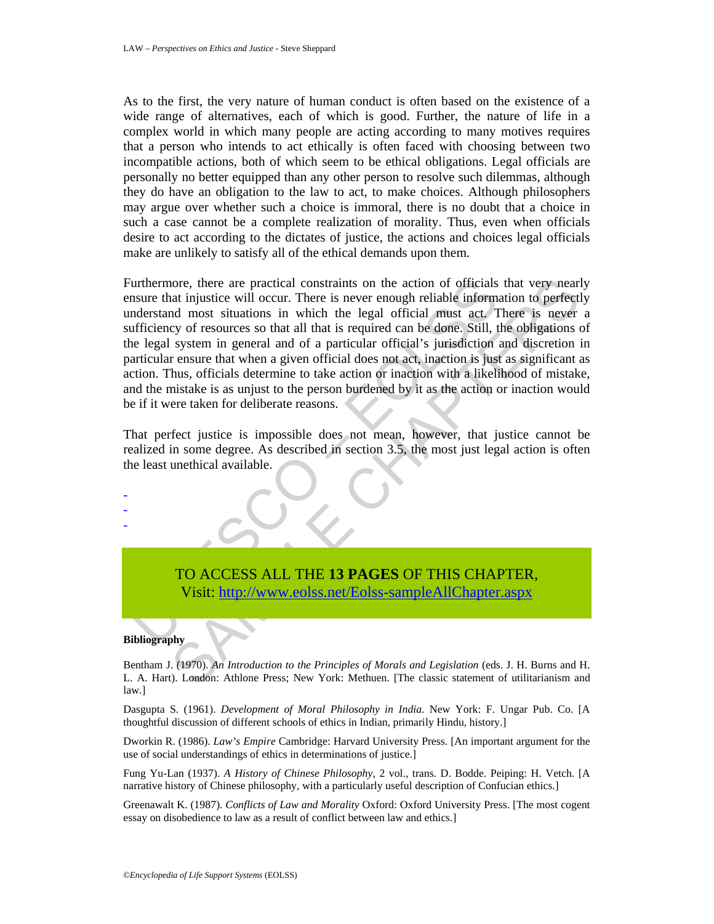As to the first, the very nature of human conduct is often based on the existence of a wide range of alternatives, each of which is good. Further, the nature of life in a complex world in which many people are acting according to many motives requires that a person who intends to act ethically is often faced with choosing between two incompatible actions, both of which seem to be ethical obligations. Legal officials are personally no better equipped than any other person to resolve such dilemmas, although they do have an obligation to the law to act, to make choices. Although philosophers may argue over whether such a choice is immoral, there is no doubt that a choice in such a case cannot be a complete realization of morality. Thus, even when officials desire to act according to the dictates of justice, the actions and choices legal officials make are unlikely to satisfy all of the ethical demands upon them.

urthermore, there are practical constraints on the action of officials<br>numer that injustice will occur. There is never enough reliable informated<br>notestand most situations in which the legal official must act. T<br>afficiency nore, there are practical constraints on the action of officials that very near<br>at injustice will occur. There is never enough reliable information to perfectly<br>of mission in the math and its required can be done. Still, t Furthermore, there are practical constraints on the action of officials that very nearly ensure that injustice will occur. There is never enough reliable information to perfectly understand most situations in which the legal official must act. There is never a sufficiency of resources so that all that is required can be done. Still, the obligations of the legal system in general and of a particular official's jurisdiction and discretion in particular ensure that when a given official does not act, inaction is just as significant as action. Thus, officials determine to take action or inaction with a likelihood of mistake, and the mistake is as unjust to the person burdened by it as the action or inaction would be if it were taken for deliberate reasons.

That perfect justice is impossible does not mean, however, that justice cannot be realized in some degree. As described in section 3.5, the most just legal action is often the least unethical available.

# TO ACCESS ALL THE **13 PAGES** OF THIS CHAPTER, Visit: http://www.eolss.net/Eolss-sampleAllChapter.aspx

#### **Bibliography**

- - -

Bentham J. (1970). *An Introduction to the Principles of Morals and Legislation* (eds. J. H. Burns and H. L. A. Hart). London: Athlone Press; New York: Methuen. [The classic statement of utilitarianism and law.]

Dasgupta S. (1961). *Development of Moral Philosophy in India.* New York: F. Ungar Pub. Co. [A thoughtful discussion of different schools of ethics in Indian, primarily Hindu, history.]

Dworkin R. (1986). *Law's Empire* Cambridge: Harvard University Press. [An important argument for the use of social understandings of ethics in determinations of justice.]

Fung Yu-Lan (1937). *A History of Chinese Philosophy*, 2 vol., trans. D. Bodde. Peiping: H. Vetch. [A narrative history of Chinese philosophy, with a particularly useful description of Confucian ethics.]

Greenawalt K. (1987). *Conflicts of Law and Morality* Oxford: Oxford University Press. [The most cogent essay on disobedience to law as a result of conflict between law and ethics.]